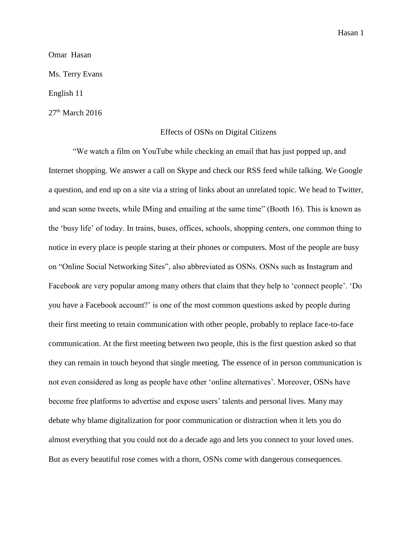Hasan 1

Omar Hasan

Ms. Terry Evans

English 11

 $27<sup>th</sup>$  March 2016

## Effects of OSNs on Digital Citizens

"We watch a film on YouTube while checking an email that has just popped up, and Internet shopping. We answer a call on Skype and check our RSS feed while talking. We Google a question, and end up on a site via a string of links about an unrelated topic. We head to Twitter, and scan some tweets, while IMing and emailing at the same time" (Booth 16). This is known as the 'busy life' of today. In trains, buses, offices, schools, shopping centers, one common thing to notice in every place is people staring at their phones or computers. Most of the people are busy on "Online Social Networking Sites", also abbreviated as OSNs. OSNs such as Instagram and Facebook are very popular among many others that claim that they help to 'connect people'. 'Do you have a Facebook account?' is one of the most common questions asked by people during their first meeting to retain communication with other people, probably to replace face-to-face communication. At the first meeting between two people, this is the first question asked so that they can remain in touch beyond that single meeting. The essence of in person communication is not even considered as long as people have other 'online alternatives'. Moreover, OSNs have become free platforms to advertise and expose users' talents and personal lives. Many may debate why blame digitalization for poor communication or distraction when it lets you do almost everything that you could not do a decade ago and lets you connect to your loved ones. But as every beautiful rose comes with a thorn, OSNs come with dangerous consequences.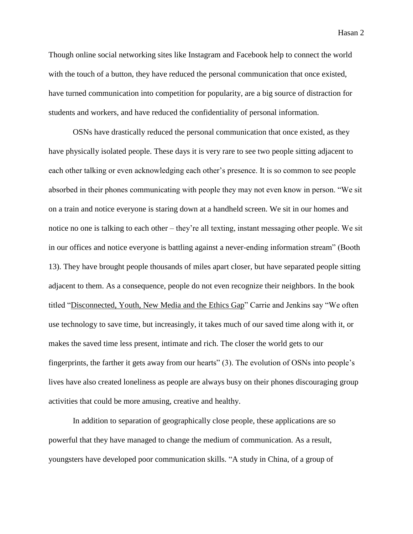Though online social networking sites like Instagram and Facebook help to connect the world with the touch of a button, they have reduced the personal communication that once existed, have turned communication into competition for popularity, are a big source of distraction for students and workers, and have reduced the confidentiality of personal information.

OSNs have drastically reduced the personal communication that once existed, as they have physically isolated people. These days it is very rare to see two people sitting adjacent to each other talking or even acknowledging each other's presence. It is so common to see people absorbed in their phones communicating with people they may not even know in person. "We sit on a train and notice everyone is staring down at a handheld screen. We sit in our homes and notice no one is talking to each other – they're all texting, instant messaging other people. We sit in our offices and notice everyone is battling against a never-ending information stream" (Booth 13). They have brought people thousands of miles apart closer, but have separated people sitting adjacent to them. As a consequence, people do not even recognize their neighbors. In the book titled "Disconnected, Youth, New Media and the Ethics Gap" Carrie and Jenkins say "We often use technology to save time, but increasingly, it takes much of our saved time along with it, or makes the saved time less present, intimate and rich. The closer the world gets to our fingerprints, the farther it gets away from our hearts" (3). The evolution of OSNs into people's lives have also created loneliness as people are always busy on their phones discouraging group activities that could be more amusing, creative and healthy.

In addition to separation of geographically close people, these applications are so powerful that they have managed to change the medium of communication. As a result, youngsters have developed poor communication skills. "A study in China, of a group of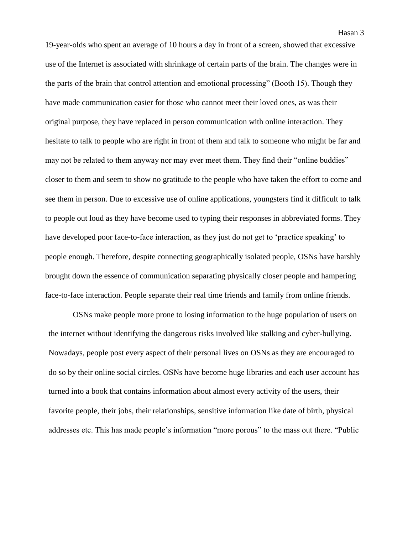19-year-olds who spent an average of 10 hours a day in front of a screen, showed that excessive use of the Internet is associated with shrinkage of certain parts of the brain. The changes were in the parts of the brain that control attention and emotional processing" (Booth 15). Though they have made communication easier for those who cannot meet their loved ones, as was their original purpose, they have replaced in person communication with online interaction. They hesitate to talk to people who are right in front of them and talk to someone who might be far and may not be related to them anyway nor may ever meet them. They find their "online buddies" closer to them and seem to show no gratitude to the people who have taken the effort to come and see them in person. Due to excessive use of online applications, youngsters find it difficult to talk to people out loud as they have become used to typing their responses in abbreviated forms. They have developed poor face-to-face interaction, as they just do not get to 'practice speaking' to people enough. Therefore, despite connecting geographically isolated people, OSNs have harshly brought down the essence of communication separating physically closer people and hampering face-to-face interaction. People separate their real time friends and family from online friends.

OSNs make people more prone to losing information to the huge population of users on the internet without identifying the dangerous risks involved like stalking and cyber-bullying. Nowadays, people post every aspect of their personal lives on OSNs as they are encouraged to do so by their online social circles. OSNs have become huge libraries and each user account has turned into a book that contains information about almost every activity of the users, their favorite people, their jobs, their relationships, sensitive information like date of birth, physical addresses etc. This has made people's information "more porous" to the mass out there. "Public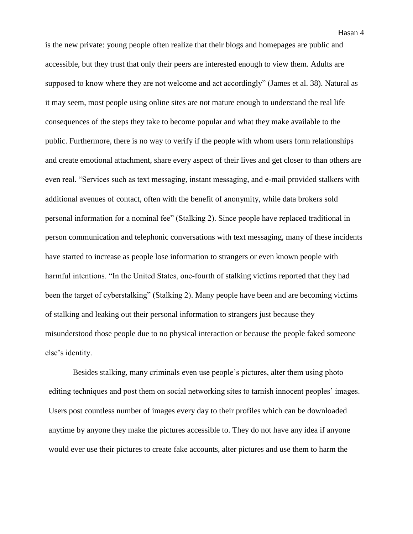is the new private: young people often realize that their blogs and homepages are public and accessible, but they trust that only their peers are interested enough to view them. Adults are supposed to know where they are not welcome and act accordingly" (James et al. 38). Natural as it may seem, most people using online sites are not mature enough to understand the real life consequences of the steps they take to become popular and what they make available to the public. Furthermore, there is no way to verify if the people with whom users form relationships and create emotional attachment, share every aspect of their lives and get closer to than others are even real. "Services such as text messaging, instant messaging, and e-mail provided stalkers with additional avenues of contact, often with the benefit of anonymity, while data brokers sold personal information for a nominal fee" (Stalking 2). Since people have replaced traditional in person communication and telephonic conversations with text messaging, many of these incidents have started to increase as people lose information to strangers or even known people with harmful intentions. "In the United States, one-fourth of stalking victims reported that they had been the target of cyberstalking" (Stalking 2). Many people have been and are becoming victims of stalking and leaking out their personal information to strangers just because they misunderstood those people due to no physical interaction or because the people faked someone else's identity.

Besides stalking, many criminals even use people's pictures, alter them using photo editing techniques and post them on social networking sites to tarnish innocent peoples' images. Users post countless number of images every day to their profiles which can be downloaded anytime by anyone they make the pictures accessible to. They do not have any idea if anyone would ever use their pictures to create fake accounts, alter pictures and use them to harm the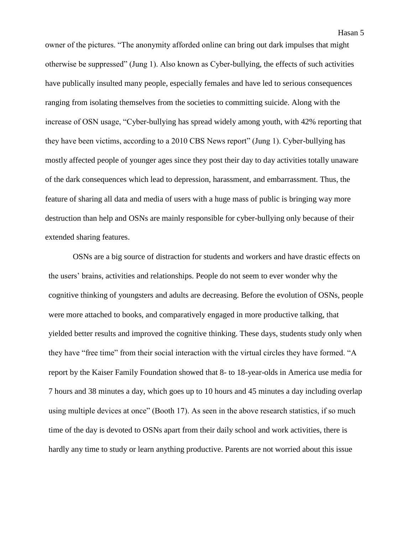owner of the pictures. "The anonymity afforded online can bring out dark impulses that might otherwise be suppressed" (Jung 1). Also known as Cyber-bullying, the effects of such activities have publically insulted many people, especially females and have led to serious consequences ranging from isolating themselves from the societies to committing suicide. Along with the increase of OSN usage, "Cyber-bullying has spread widely among youth, with 42% reporting that they have been victims, according to a 2010 CBS News report" (Jung 1). Cyber-bullying has mostly affected people of younger ages since they post their day to day activities totally unaware of the dark consequences which lead to depression, harassment, and embarrassment. Thus, the feature of sharing all data and media of users with a huge mass of public is bringing way more destruction than help and OSNs are mainly responsible for cyber-bullying only because of their extended sharing features.

OSNs are a big source of distraction for students and workers and have drastic effects on the users' brains, activities and relationships. People do not seem to ever wonder why the cognitive thinking of youngsters and adults are decreasing. Before the evolution of OSNs, people were more attached to books, and comparatively engaged in more productive talking, that yielded better results and improved the cognitive thinking. These days, students study only when they have "free time" from their social interaction with the virtual circles they have formed. "A report by the Kaiser Family Foundation showed that 8- to 18-year-olds in America use media for 7 hours and 38 minutes a day, which goes up to 10 hours and 45 minutes a day including overlap using multiple devices at once" (Booth 17). As seen in the above research statistics, if so much time of the day is devoted to OSNs apart from their daily school and work activities, there is hardly any time to study or learn anything productive. Parents are not worried about this issue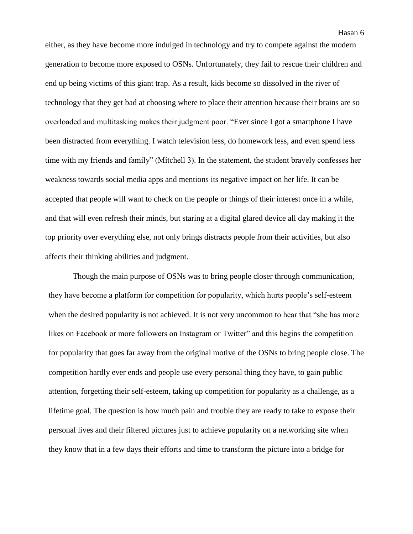either, as they have become more indulged in technology and try to compete against the modern generation to become more exposed to OSNs. Unfortunately, they fail to rescue their children and end up being victims of this giant trap. As a result, kids become so dissolved in the river of technology that they get bad at choosing where to place their attention because their brains are so overloaded and multitasking makes their judgment poor. "Ever since I got a smartphone I have been distracted from everything. I watch television less, do homework less, and even spend less time with my friends and family" (Mitchell 3). In the statement, the student bravely confesses her weakness towards social media apps and mentions its negative impact on her life. It can be accepted that people will want to check on the people or things of their interest once in a while, and that will even refresh their minds, but staring at a digital glared device all day making it the top priority over everything else, not only brings distracts people from their activities, but also

affects their thinking abilities and judgment.

Though the main purpose of OSNs was to bring people closer through communication, they have become a platform for competition for popularity, which hurts people's self-esteem when the desired popularity is not achieved. It is not very uncommon to hear that "she has more likes on Facebook or more followers on Instagram or Twitter" and this begins the competition for popularity that goes far away from the original motive of the OSNs to bring people close. The competition hardly ever ends and people use every personal thing they have, to gain public attention, forgetting their self-esteem, taking up competition for popularity as a challenge, as a lifetime goal. The question is how much pain and trouble they are ready to take to expose their personal lives and their filtered pictures just to achieve popularity on a networking site when they know that in a few days their efforts and time to transform the picture into a bridge for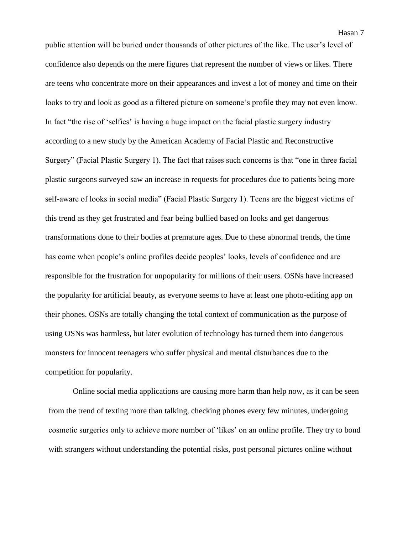Hasan 7

public attention will be buried under thousands of other pictures of the like. The user's level of confidence also depends on the mere figures that represent the number of views or likes. There are teens who concentrate more on their appearances and invest a lot of money and time on their looks to try and look as good as a filtered picture on someone's profile they may not even know. In fact "the rise of 'selfies' is having a huge impact on the facial plastic surgery industry according to a new study by the American Academy of Facial Plastic and Reconstructive Surgery" (Facial Plastic Surgery 1). The fact that raises such concerns is that "one in three facial plastic surgeons surveyed saw an increase in requests for procedures due to patients being more self-aware of looks in social media" (Facial Plastic Surgery 1). Teens are the biggest victims of this trend as they get frustrated and fear being bullied based on looks and get dangerous transformations done to their bodies at premature ages. Due to these abnormal trends, the time has come when people's online profiles decide peoples' looks, levels of confidence and are responsible for the frustration for unpopularity for millions of their users. OSNs have increased the popularity for artificial beauty, as everyone seems to have at least one photo-editing app on their phones. OSNs are totally changing the total context of communication as the purpose of using OSNs was harmless, but later evolution of technology has turned them into dangerous monsters for innocent teenagers who suffer physical and mental disturbances due to the competition for popularity.

Online social media applications are causing more harm than help now, as it can be seen from the trend of texting more than talking, checking phones every few minutes, undergoing cosmetic surgeries only to achieve more number of 'likes' on an online profile. They try to bond with strangers without understanding the potential risks, post personal pictures online without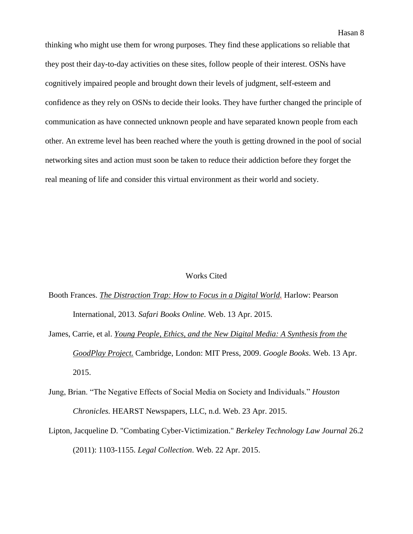thinking who might use them for wrong purposes. They find these applications so reliable that they post their day-to-day activities on these sites, follow people of their interest. OSNs have cognitively impaired people and brought down their levels of judgment, self-esteem and confidence as they rely on OSNs to decide their looks. They have further changed the principle of communication as have connected unknown people and have separated known people from each other. An extreme level has been reached where the youth is getting drowned in the pool of social networking sites and action must soon be taken to reduce their addiction before they forget the real meaning of life and consider this virtual environment as their world and society.

## Works Cited

- Booth Frances. *The Distraction Trap: How to Focus in a Digital World.* Harlow: Pearson International, 2013. *Safari Books Online.* Web. 13 Apr. 2015.
- James, Carrie, et al. *Young People, Ethics, and the New Digital Media: A Synthesis from the GoodPlay Project.* Cambridge, London: MIT Press, 2009. *Google Books*. Web. 13 Apr. 2015.
- Jung, Brian. "The Negative Effects of Social Media on Society and Individuals." *Houston Chronicles.* HEARST Newspapers, LLC, n.d. Web. 23 Apr. 2015.
- Lipton, Jacqueline D. "Combating Cyber-Victimization." *Berkeley Technology Law Journal* 26.2 (2011): 1103-1155. *Legal Collection*. Web. 22 Apr. 2015.